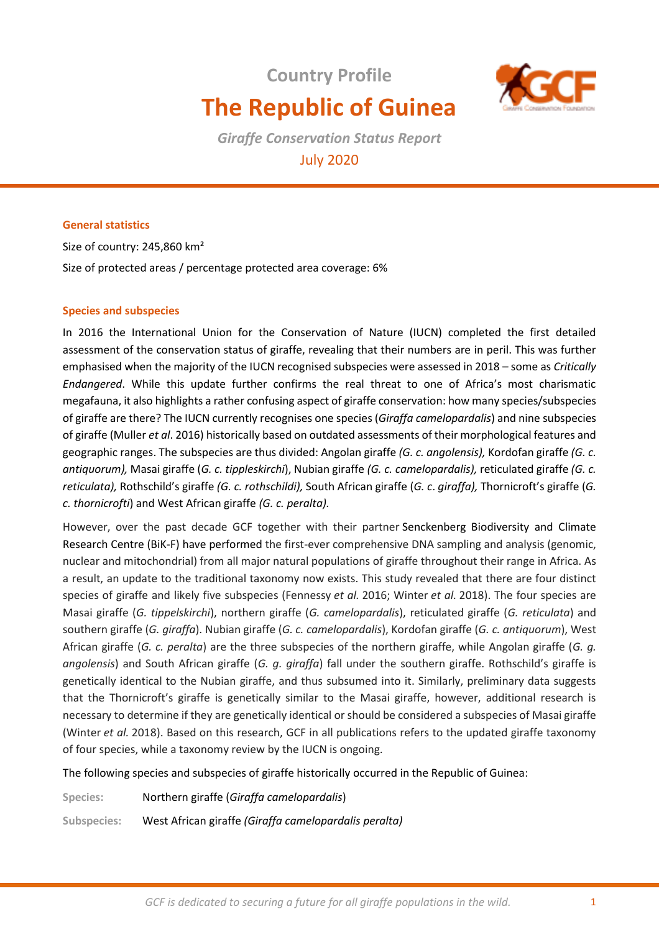# **Country Profile The Republic of Guinea**



*Giraffe Conservation Status Report*  July 2020

# **General statistics**

Size of country: 245,860 km² Size of protected areas / percentage protected area coverage: 6%

#### **Species and subspecies**

In 2016 the International Union for the Conservation of Nature (IUCN) completed the first detailed assessment of the conservation status of giraffe, revealing that their numbers are in peril. This was further emphasised when the majority of the IUCN recognised subspecies were assessed in 2018 – some as *Critically Endangered*. While this update further confirms the real threat to one of Africa's most charismatic megafauna, it also highlights a rather confusing aspect of giraffe conservation: how many species/subspecies of giraffe are there? The IUCN currently recognises one species (*Giraffa camelopardalis*) and nine subspecies of giraffe (Muller *et al*. 2016) historically based on outdated assessments of their morphological features and geographic ranges. The subspecies are thus divided: Angolan giraffe *(G. c. angolensis),* Kordofan giraffe *(G. c. antiquorum),* Masai giraffe (*G. c. tippleskirchi*), Nubian giraffe *(G. c. camelopardalis),* reticulated giraffe *(G. c. reticulata),* Rothschild's giraffe *(G. c. rothschildi),* South African giraffe (*G. c*. *giraffa),* Thornicroft's giraffe (*G. c. thornicrofti*) and West African giraffe *(G. c. peralta).* 

However, over the past decade GCF together with their partner Senckenberg Biodiversity and Climate Research Centre (BiK-F) have performed the first-ever comprehensive DNA sampling and analysis (genomic, nuclear and mitochondrial) from all major natural populations of giraffe throughout their range in Africa. As a result, an update to the traditional taxonomy now exists. This study revealed that there are four distinct species of giraffe and likely five subspecies (Fennessy *et al.* 2016; Winter *et al.* 2018). The four species are Masai giraffe (*G. tippelskirchi*), northern giraffe (*G. camelopardalis*), reticulated giraffe (*G. reticulata*) and southern giraffe (*G. giraffa*). Nubian giraffe (*G. c. camelopardalis*), Kordofan giraffe (*G. c. antiquorum*), West African giraffe (*G. c. peralta*) are the three subspecies of the northern giraffe, while Angolan giraffe (*G. g. angolensis*) and South African giraffe (*G. g. giraffa*) fall under the southern giraffe. Rothschild's giraffe is genetically identical to the Nubian giraffe, and thus subsumed into it. Similarly, preliminary data suggests that the Thornicroft's giraffe is genetically similar to the Masai giraffe, however, additional research is necessary to determine if they are genetically identical or should be considered a subspecies of Masai giraffe (Winter *et al.* 2018). Based on this research, GCF in all publications refers to the updated giraffe taxonomy of four species, while a taxonomy review by the IUCN is ongoing.

The following species and subspecies of giraffe historically occurred in the Republic of Guinea:

**Species:** Northern giraffe (*Giraffa camelopardalis*)

**Subspecies:** West African giraffe *(Giraffa camelopardalis peralta)*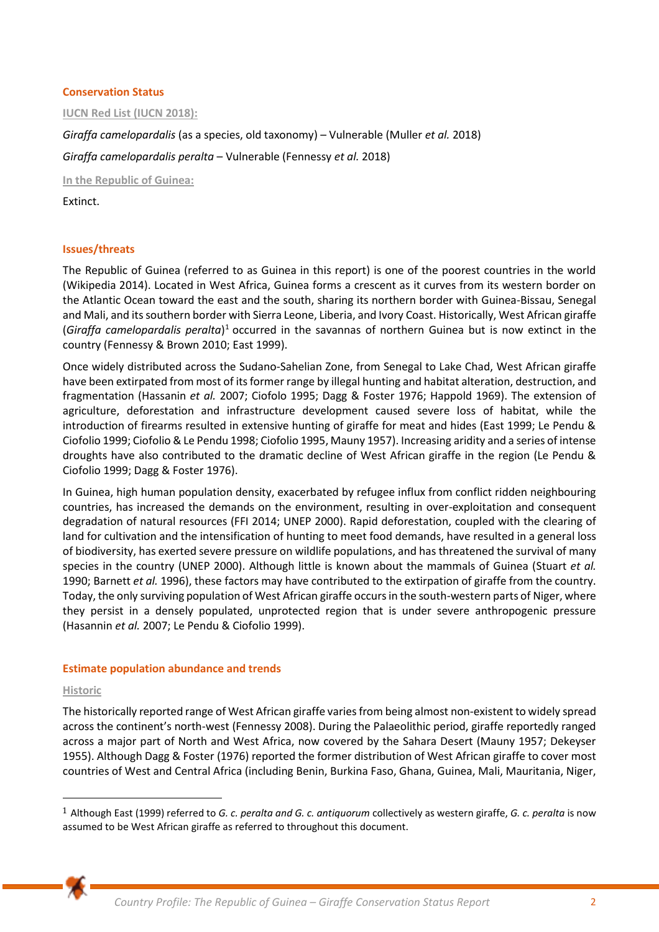### **Conservation Status**

**IUCN Red List (IUCN 2018):** 

*Giraffa camelopardalis* (as a species, old taxonomy) – Vulnerable (Muller *et al.* 2018)

*Giraffa camelopardalis peralta* – Vulnerable (Fennessy *et al.* 2018)

**In the Republic of Guinea:** 

Extinct.

# **Issues/threats**

The Republic of Guinea (referred to as Guinea in this report) is one of the poorest countries in the world (Wikipedia 2014). Located in West Africa, Guinea forms a crescent as it curves from its western border on the Atlantic Ocean toward the east and the south, sharing its northern border with Guinea-Bissau, Senegal and Mali, and its southern border with Sierra Leone, Liberia, and Ivory Coast. Historically, West African giraffe (Giraffa camelopardalis peralta)<sup>1</sup> occurred in the savannas of northern Guinea but is now extinct in the country (Fennessy & Brown 2010; East 1999).

Once widely distributed across the Sudano-Sahelian Zone, from Senegal to Lake Chad, West African giraffe have been extirpated from most of its former range by illegal hunting and habitat alteration, destruction, and fragmentation (Hassanin *et al.* 2007; Ciofolo 1995; Dagg & Foster 1976; Happold 1969). The extension of agriculture, deforestation and infrastructure development caused severe loss of habitat, while the introduction of firearms resulted in extensive hunting of giraffe for meat and hides (East 1999; Le Pendu & Ciofolio 1999; Ciofolio & Le Pendu 1998; Ciofolio 1995, Mauny 1957). Increasing aridity and a series of intense droughts have also contributed to the dramatic decline of West African giraffe in the region (Le Pendu & Ciofolio 1999; Dagg & Foster 1976).

In Guinea, high human population density, exacerbated by refugee influx from conflict ridden neighbouring countries, has increased the demands on the environment, resulting in over-exploitation and consequent degradation of natural resources (FFI 2014; UNEP 2000). Rapid deforestation, coupled with the clearing of land for cultivation and the intensification of hunting to meet food demands, have resulted in a general loss of biodiversity, has exerted severe pressure on wildlife populations, and has threatened the survival of many species in the country (UNEP 2000). Although little is known about the mammals of Guinea (Stuart *et al.* 1990; Barnett *et al.* 1996), these factors may have contributed to the extirpation of giraffe from the country. Today, the only surviving population of West African giraffe occurs in the south-western parts of Niger, where they persist in a densely populated, unprotected region that is under severe anthropogenic pressure (Hasannin *et al.* 2007; Le Pendu & Ciofolio 1999).

#### **Estimate population abundance and trends**

#### **Historic**

The historically reported range of West African giraffe varies from being almost non-existent to widely spread across the continent's north-west (Fennessy 2008). During the Palaeolithic period, giraffe reportedly ranged across a major part of North and West Africa, now covered by the Sahara Desert (Mauny 1957; Dekeyser 1955). Although Dagg & Foster (1976) reported the former distribution of West African giraffe to cover most countries of West and Central Africa (including Benin, Burkina Faso, Ghana, Guinea, Mali, Mauritania, Niger,

<sup>1</sup> Although East (1999) referred to *G. c. peralta and G. c. antiquorum* collectively as western giraffe, *G. c. peralta* is now assumed to be West African giraffe as referred to throughout this document.

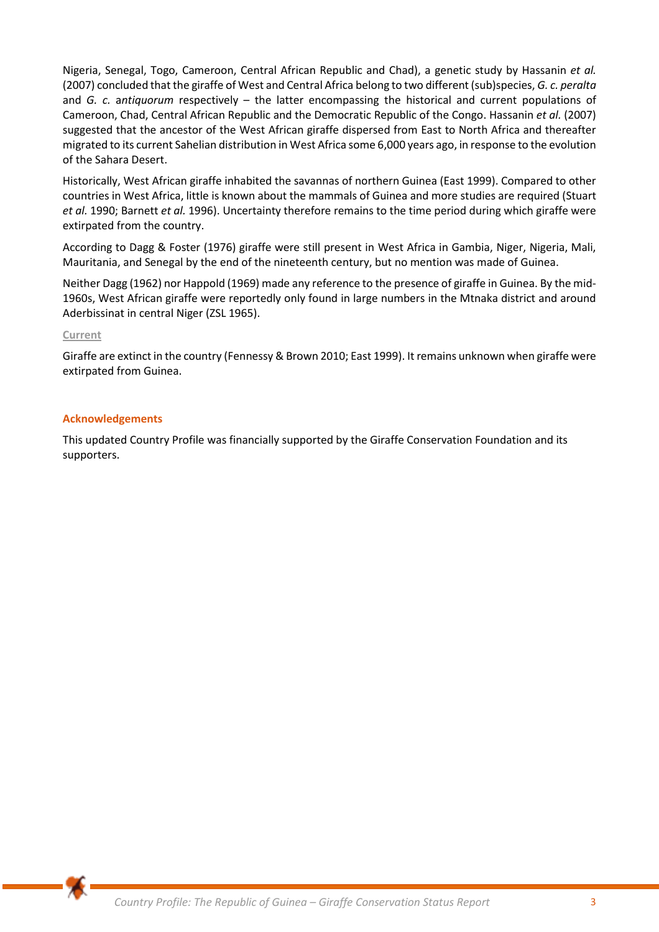Nigeria, Senegal, Togo, Cameroon, Central African Republic and Chad), a genetic study by Hassanin *et al.* (2007) concluded that the giraffe of West and Central Africa belong to two different (sub)species, *G. c. peralta*  and *G. c.* a*ntiquorum* respectively – the latter encompassing the historical and current populations of Cameroon, Chad, Central African Republic and the Democratic Republic of the Congo. Hassanin *et al.* (2007) suggested that the ancestor of the West African giraffe dispersed from East to North Africa and thereafter migrated to its current Sahelian distribution in West Africa some 6,000 years ago, in response to the evolution of the Sahara Desert.

Historically, West African giraffe inhabited the savannas of northern Guinea (East 1999). Compared to other countries in West Africa, little is known about the mammals of Guinea and more studies are required (Stuart *et al.* 1990; Barnett *et al.* 1996). Uncertainty therefore remains to the time period during which giraffe were extirpated from the country.

According to Dagg & Foster (1976) giraffe were still present in West Africa in Gambia, Niger, Nigeria, Mali, Mauritania, and Senegal by the end of the nineteenth century, but no mention was made of Guinea.

Neither Dagg (1962) nor Happold (1969) made any reference to the presence of giraffe in Guinea. By the mid-1960s, West African giraffe were reportedly only found in large numbers in the Mtnaka district and around Aderbissinat in central Niger (ZSL 1965).

#### **Current**

Giraffe are extinct in the country (Fennessy & Brown 2010; East 1999). It remains unknown when giraffe were extirpated from Guinea.

#### **Acknowledgements**

This updated Country Profile was financially supported by the Giraffe Conservation Foundation and its supporters.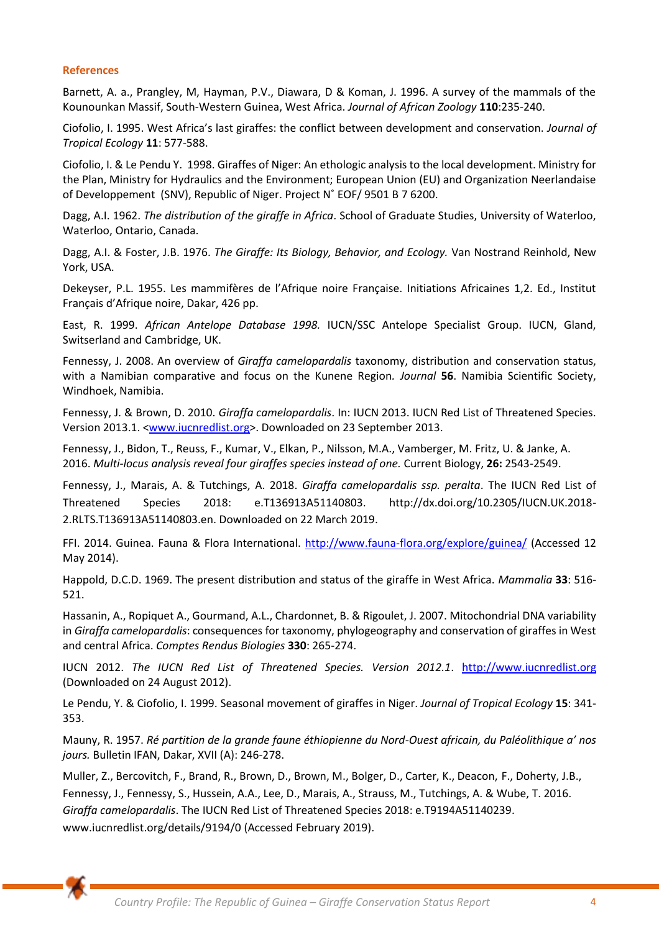#### **References**

Barnett, A. a., Prangley, M, Hayman, P.V., Diawara, D & Koman, J. 1996. A survey of the mammals of the Kounounkan Massif, South-Western Guinea, West Africa. *Journal of African Zoology* **110**:235-240.

Ciofolio, I. 1995. West Africa's last giraffes: the conflict between development and conservation. *Journal of Tropical Ecology* **11**: 577-588.

Ciofolio, I. & Le Pendu Y. 1998. Giraffes of Niger: An ethologic analysis to the local development. Ministry for the Plan, Ministry for Hydraulics and the Environment; European Union (EU) and Organization Neerlandaise of Developpement (SNV), Republic of Niger. Project N˚ EOF/ 9501 B 7 6200.

Dagg, A.I. 1962. *The distribution of the giraffe in Africa*. School of Graduate Studies, University of Waterloo, Waterloo, Ontario, Canada.

Dagg, A.I. & Foster, J.B. 1976. *The Giraffe: Its Biology, Behavior, and Ecology.* Van Nostrand Reinhold, New York, USA.

Dekeyser, P.L. 1955. Les mammifères de l'Afrique noire Française. Initiations Africaines 1,2. Ed., Institut Français d'Afrique noire, Dakar, 426 pp.

East, R. 1999. *African Antelope Database 1998.* IUCN/SSC Antelope Specialist Group. IUCN, Gland, Switserland and Cambridge, UK.

Fennessy, J. 2008. An overview of *Giraffa camelopardalis* taxonomy, distribution and conservation status, with a Namibian comparative and focus on the Kunene Region*. Journal* **56**. Namibia Scientific Society, Windhoek, Namibia.

Fennessy, J. & Brown, D. 2010. *Giraffa camelopardalis*. In: IUCN 2013. IUCN Red List of Threatened Species. Version 2013.1. [<www.iucnredlist.org>](http://www.iucnredlist.org/). Downloaded on 23 September 2013.

Fennessy, J., Bidon, T., Reuss, F., Kumar, V., Elkan, P., Nilsson, M.A., Vamberger, M. Fritz, U. & Janke, A. 2016. *Multi-locus analysis reveal four giraffes species instead of one.* Current Biology, **26:** 2543-2549.

Fennessy, J., Marais, A. & Tutchings, A. 2018. *Giraffa camelopardalis ssp. peralta*. The IUCN Red List of Threatened Species 2018: e.T136913A51140803. http://dx.doi.org/10.2305/IUCN.UK.2018- 2.RLTS.T136913A51140803.en. Downloaded on 22 March 2019.

FFI. 2014. Guinea. Fauna & Flora International.<http://www.fauna-flora.org/explore/guinea/>(Accessed 12 May 2014).

Happold, D.C.D. 1969. The present distribution and status of the giraffe in West Africa. *Mammalia* **33**: 516- 521.

Hassanin, A., Ropiquet A., Gourmand, A.L., Chardonnet, B. & Rigoulet, J. 2007. Mitochondrial DNA variability in *Giraffa camelopardalis*: consequences for taxonomy, phylogeography and conservation of giraffes in West and central Africa. *Comptes Rendus Biologies* **330**: 265-274.

IUCN 2012. *The IUCN Red List of Threatened Species. Version 2012.1*. [http://www.iucnredlist.org](http://www.iucnredlist.org/) (Downloaded on 24 August 2012).

Le Pendu, Y. & Ciofolio, I. 1999. Seasonal movement of giraffes in Niger. *Journal of Tropical Ecology* **15**: 341- 353.

Mauny, R. 1957. *Ré partition de la grande faune éthiopienne du Nord-Ouest africain, du Paléolithique a' nos jours.* Bulletin IFAN, Dakar, XVII (A): 246-278.

Muller, Z., Bercovitch, F., Brand, R., Brown, D., Brown, M., Bolger, D., Carter, K., Deacon, F., Doherty, J.B., Fennessy, J., Fennessy, S., Hussein, A.A., Lee, D., Marais, A., Strauss, M., Tutchings, A. & Wube, T. 2016. *Giraffa camelopardalis*. The IUCN Red List of Threatened Species 2018: e.T9194A51140239. www.iucnredlist.org/details/9194/0 (Accessed February 2019).